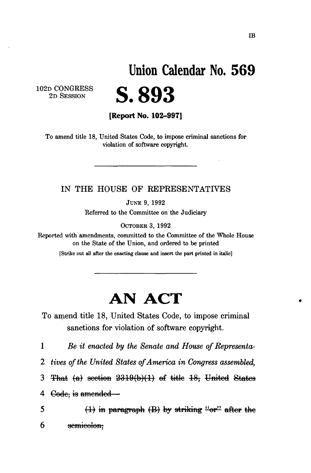# **Union Calendar No. 56 9**

102D CONGRESS 2D SESSION

**S.893** 

**[Report No. 102-997]** 

To amend title 18, United States Code, to impose criminal sanctions for violation of software copyright.

#### IN **THE** HOUSE OF REPRESENTATIVES

JUNE 9, 1992

Referred to the Committee on the Judiciary

OCTOBER 3, 1992

Reported with amendments, committed to the Committee of the Whole House on the State of the Union, and ordered to be printed

[Strike out all after the enacting clause and insert the part printed in italic]

## **AN ACT**

To amend title 18, United States Code, to impose criminal sanctions for violation of software copyright.

1 *Be it enacted by the Senate and House of Representa-*

*2 tives of the United States of America in Congress assembled,* 

3 That (a) section  $2319(b)(1)$  of title 18, United States

4  $\theta$  Gode, is amended –

 $(1)$  in paragraph  $(B)$  by striking "or" after the 5 6 semicolon: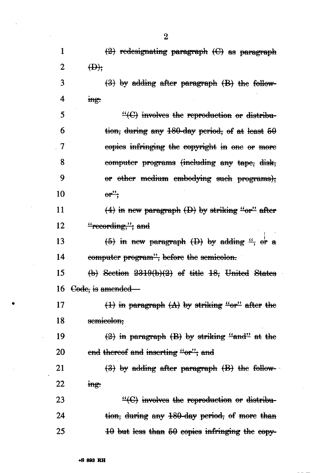1  $\langle 2 \rangle$  redesignating paragraph  $\langle C \rangle$  as paragraph 2 W r 3  $({}3)$  by adding after paragraph  $({\rm B})$  the follow-4 ingt 5 "  $\text{``(C)}$  involves the reproduction or distribu- $6$  tion, during any 180-day period, of at least  $50$ 7 copies infringing the copyright in one er more 8 computer programs (including any tape, disk, 9 or other medium embodying such programs); 10  $\qquad \qquad \theta \mathbf{r}^{\prime \prime}$ ; 11  $(4)$  in new paragraph  $(D)$  by striking "or" after 12 "recording,"; and **i**  13  $(5)$  in new paragraph  $(D)$  by adding ", or a 14 computer program", before the semicolon. 15  $(b)$  Section  $2319(b)(2)$  of title 18, United States 16 <del>Code, is amended</del>— 17 **(1)** in paragraph  $(A)$  by striking "or" after the 18 semicolon; 19  $(2)$  in paragraph  $(B)$  by striking "and" at the 20 end thereof and inserting "or"; and 21  $(3)$  by adding after paragraph  $(B)$  the follow-22 ing: 23  $-(C)$  involves the reproduction or distribu-24 tion, during any 180-day period, of more than  $25 \qquad \qquad \text{40 but less than } 50 \text{ copies infringing the copy-}$ 

2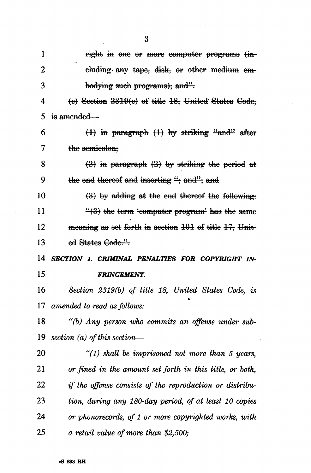1 right in one or more computer programs (in-2 eluding any tape, disk, or other medium em- bodying such programs); and".  $(e)$  Section  $2319(e)$  of title 18, United States Gode, 5 is amended—  $(1)$  in paragraph  $(1)$  by striking "and" after 7 the semicolon;  $(2)$  in paragraph  $(2)$  by striking the period at 9 the end thereof and inserting  $\frac{a}{x}$  and"; and 10 (3) by adding at the end thereof the following: 11  $\frac{11}{8}$  the term 'computer program' has the same 12 meaning as set forth in section  $101$  of title  $17$ , Unit-13 ed States Code.".  *SECTION 1. CRIMINAL PENALTIES FOR COPYRIGHT IN- FRINGEMENT. Section 2319(b) of title 18, United States Code, is amended to read as follows: "(b) Any person who commits an offense under sub- section (a) of this section*—  *"(1) shall be imprisoned not more than 5 years, or fined in the amount set forth in this title, or both, if the offense consists of the reproduction or distribu- tion, during any 180-day period, of at least 10 copies or phonorecords, of 1 or more copyrighted works, with a retail value of more than \$2,500;* 

3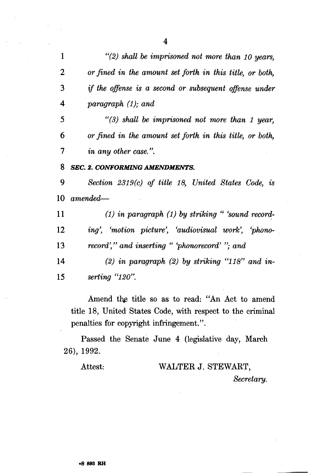*"(2) shall be imprisoned not more than 10 years, 2 or fined in the amount set forth in this title, or both, if the offense is a second or subsequent offense under paragraph (1); and "(3) shall be imprisoned not more than 1 year, or fined in the amount set forth in this title, or both, in any other case.". SEC. 2. CONFORMING AMENDMENTS. 9 Section 2319(c) of title 18, United States Code, is amended*—  *(1) in paragraph (1) by striking " 'sound record- ing', 'motion picture', 'audiovisual work', 'phono- record'," and inserting " 'phonorecord' "; and (2) in paragraph (2) by striking "118" and in- serting "120".* 

Amend the title so as to read: "An Act to amend title 18, United States Code, with respect to the criminal penalties for copyright infringement.".

Passed the Senate June 4 (legislative day, March 26), 1992.

### Attest: WALTER J. STEWART, *Secretary.*